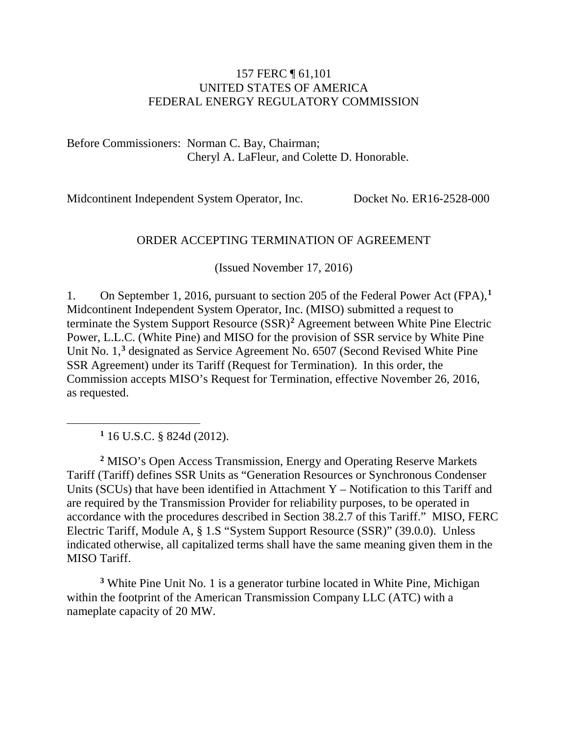#### 157 FERC ¶ 61,101 UNITED STATES OF AMERICA FEDERAL ENERGY REGULATORY COMMISSION

Before Commissioners: Norman C. Bay, Chairman; Cheryl A. LaFleur, and Colette D. Honorable.

Midcontinent Independent System Operator, Inc. Docket No. ER16-2528-000

#### ORDER ACCEPTING TERMINATION OF AGREEMENT

(Issued November 17, 2016)

1. On September 1, 2016, pursuant to section 205 of the Federal Power Act (FPA),**[1](#page-0-0)** Midcontinent Independent System Operator, Inc. (MISO) submitted a request to terminate the System Support Resource (SSR)**[2](#page-0-1)** Agreement between White Pine Electric Power, L.L.C. (White Pine) and MISO for the provision of SSR service by White Pine Unit No. 1, **[3](#page-0-2)** designated as Service Agreement No. 6507 (Second Revised White Pine SSR Agreement) under its Tariff (Request for Termination). In this order, the Commission accepts MISO's Request for Termination, effective November 26, 2016, as requested.

**<sup>1</sup>** 16 U.S.C. § 824d (2012).

<span id="page-0-0"></span> $\overline{a}$ 

<span id="page-0-1"></span>**<sup>2</sup>** MISO's Open Access Transmission, Energy and Operating Reserve Markets Tariff (Tariff) defines SSR Units as "Generation Resources or Synchronous Condenser Units (SCUs) that have been identified in Attachment Y – Notification to this Tariff and are required by the Transmission Provider for reliability purposes, to be operated in accordance with the procedures described in Section 38.2.7 of this Tariff." MISO, FERC Electric Tariff, Module A, § 1.S "System Support Resource (SSR)" (39.0.0). Unless indicated otherwise, all capitalized terms shall have the same meaning given them in the MISO Tariff.

<span id="page-0-2"></span>**<sup>3</sup>** White Pine Unit No. 1 is a generator turbine located in White Pine, Michigan within the footprint of the American Transmission Company LLC (ATC) with a nameplate capacity of 20 MW.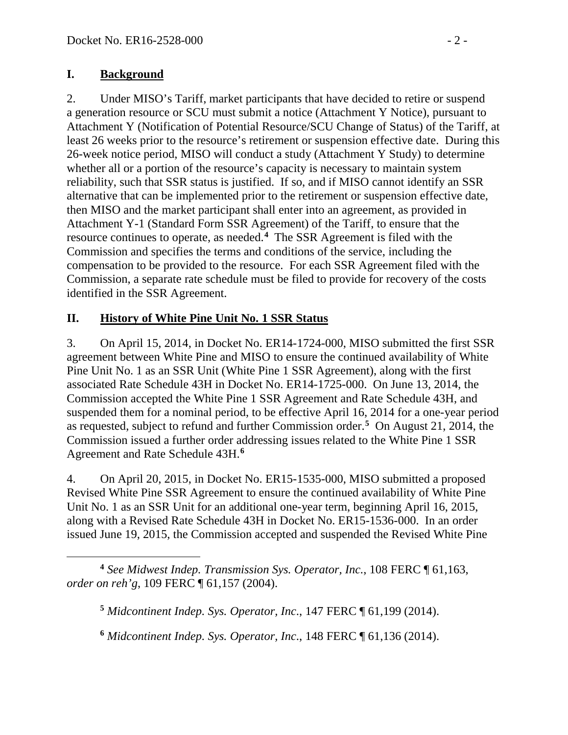### **I. Background**

2. Under MISO's Tariff, market participants that have decided to retire or suspend a generation resource or SCU must submit a notice (Attachment Y Notice), pursuant to Attachment Y (Notification of Potential Resource/SCU Change of Status) of the Tariff, at least 26 weeks prior to the resource's retirement or suspension effective date. During this 26-week notice period, MISO will conduct a study (Attachment Y Study) to determine whether all or a portion of the resource's capacity is necessary to maintain system reliability, such that SSR status is justified. If so, and if MISO cannot identify an SSR alternative that can be implemented prior to the retirement or suspension effective date, then MISO and the market participant shall enter into an agreement, as provided in Attachment Y-1 (Standard Form SSR Agreement) of the Tariff, to ensure that the resource continues to operate, as needed.**[4](#page-1-0)** The SSR Agreement is filed with the Commission and specifies the terms and conditions of the service, including the compensation to be provided to the resource. For each SSR Agreement filed with the Commission, a separate rate schedule must be filed to provide for recovery of the costs identified in the SSR Agreement.

## **II. History of White Pine Unit No. 1 SSR Status**

3. On April 15, 2014, in Docket No. ER14-1724-000, MISO submitted the first SSR agreement between White Pine and MISO to ensure the continued availability of White Pine Unit No. 1 as an SSR Unit (White Pine 1 SSR Agreement), along with the first associated Rate Schedule 43H in Docket No. ER14-1725-000. On June 13, 2014, the Commission accepted the White Pine 1 SSR Agreement and Rate Schedule 43H, and suspended them for a nominal period, to be effective April 16, 2014 for a one-year period as requested, subject to refund and further Commission order.**[5](#page-1-1)** On August 21, 2014, the Commission issued a further order addressing issues related to the White Pine 1 SSR Agreement and Rate Schedule 43H.**[6](#page-1-2)**

4. On April 20, 2015, in Docket No. ER15-1535-000, MISO submitted a proposed Revised White Pine SSR Agreement to ensure the continued availability of White Pine Unit No. 1 as an SSR Unit for an additional one-year term, beginning April 16, 2015, along with a Revised Rate Schedule 43H in Docket No. ER15-1536-000. In an order issued June 19, 2015, the Commission accepted and suspended the Revised White Pine

<span id="page-1-1"></span><span id="page-1-0"></span> $\overline{a}$ **<sup>4</sup>** *See Midwest Indep. Transmission Sys. Operator, Inc.*, 108 FERC ¶ 61,163, *order on reh'g*, 109 FERC ¶ 61,157 (2004).

**<sup>5</sup>** *Midcontinent Indep. Sys. Operator, Inc*., 147 FERC ¶ 61,199 (2014).

<span id="page-1-2"></span>**<sup>6</sup>** *Midcontinent Indep. Sys. Operator, Inc*., 148 FERC ¶ 61,136 (2014).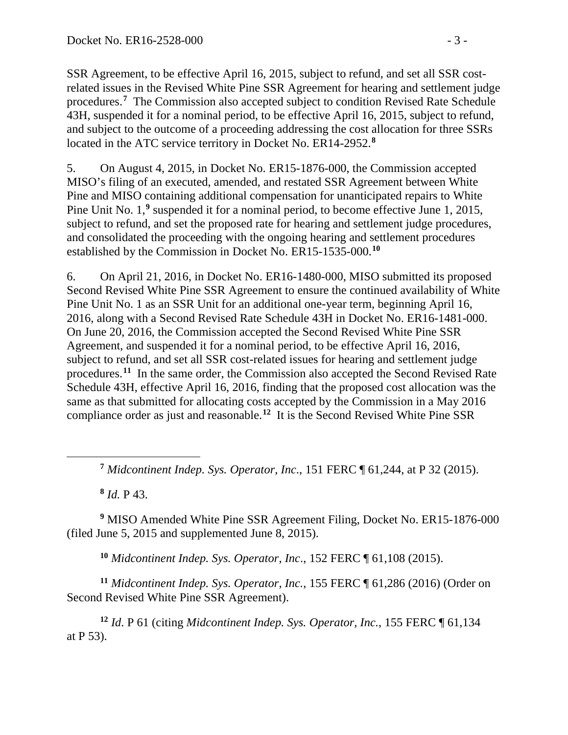SSR Agreement, to be effective April 16, 2015, subject to refund, and set all SSR costrelated issues in the Revised White Pine SSR Agreement for hearing and settlement judge procedures.**[7](#page-2-0)** The Commission also accepted subject to condition Revised Rate Schedule 43H, suspended it for a nominal period, to be effective April 16, 2015, subject to refund, and subject to the outcome of a proceeding addressing the cost allocation for three SSRs located in the ATC service territory in Docket No. ER14-2952.**[8](#page-2-1)**

5. On August 4, 2015, in Docket No. ER15-1876-000, the Commission accepted MISO's filing of an executed, amended, and restated SSR Agreement between White Pine and MISO containing additional compensation for unanticipated repairs to White Pine Unit No. 1,<sup>[9](#page-2-2)</sup> suspended it for a nominal period, to become effective June 1, 2015, subject to refund, and set the proposed rate for hearing and settlement judge procedures, and consolidated the proceeding with the ongoing hearing and settlement procedures established by the Commission in Docket No. ER15-1535-000.**[10](#page-2-3)**

6. On April 21, 2016, in Docket No. ER16-1480-000, MISO submitted its proposed Second Revised White Pine SSR Agreement to ensure the continued availability of White Pine Unit No. 1 as an SSR Unit for an additional one-year term, beginning April 16, 2016, along with a Second Revised Rate Schedule 43H in Docket No. ER16-1481-000. On June 20, 2016, the Commission accepted the Second Revised White Pine SSR Agreement, and suspended it for a nominal period, to be effective April 16, 2016, subject to refund, and set all SSR cost-related issues for hearing and settlement judge procedures. **[11](#page-2-4)** In the same order, the Commission also accepted the Second Revised Rate Schedule 43H, effective April 16, 2016, finding that the proposed cost allocation was the same as that submitted for allocating costs accepted by the Commission in a May 2016 compliance order as just and reasonable.**[12](#page-2-5)** It is the Second Revised White Pine SSR

**<sup>7</sup>** *Midcontinent Indep. Sys. Operator, Inc*., 151 FERC ¶ 61,244, at P 32 (2015).

**<sup>8</sup>** *Id.* P 43.

<span id="page-2-0"></span> $\overline{a}$ 

<span id="page-2-2"></span><span id="page-2-1"></span>**<sup>9</sup>** MISO Amended White Pine SSR Agreement Filing, Docket No. ER15-1876-000 (filed June 5, 2015 and supplemented June 8, 2015).

**<sup>10</sup>** *Midcontinent Indep. Sys. Operator, Inc*., 152 FERC ¶ 61,108 (2015).

<span id="page-2-4"></span><span id="page-2-3"></span>**<sup>11</sup>** *Midcontinent Indep. Sys. Operator, Inc.*, 155 FERC ¶ 61,286 (2016) (Order on Second Revised White Pine SSR Agreement).

<span id="page-2-5"></span>**<sup>12</sup>** *Id*. P 61 (citing *Midcontinent Indep. Sys. Operator, Inc.*, 155 FERC ¶ 61,134 at P 53).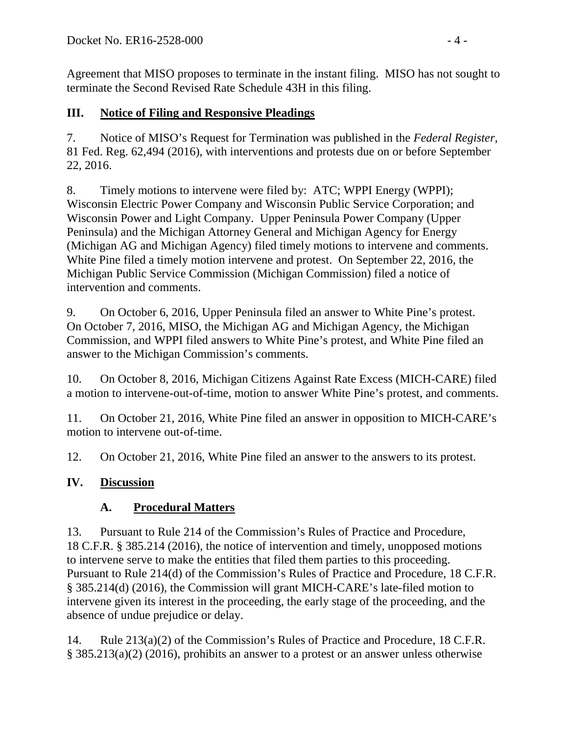Agreement that MISO proposes to terminate in the instant filing. MISO has not sought to terminate the Second Revised Rate Schedule 43H in this filing.

## **III. Notice of Filing and Responsive Pleadings**

7. Notice of MISO's Request for Termination was published in the *Federal Register*, 81 Fed. Reg. 62,494 (2016), with interventions and protests due on or before September 22, 2016.

8. Timely motions to intervene were filed by: ATC; WPPI Energy (WPPI); Wisconsin Electric Power Company and Wisconsin Public Service Corporation; and Wisconsin Power and Light Company. Upper Peninsula Power Company (Upper Peninsula) and the Michigan Attorney General and Michigan Agency for Energy (Michigan AG and Michigan Agency) filed timely motions to intervene and comments. White Pine filed a timely motion intervene and protest. On September 22, 2016, the Michigan Public Service Commission (Michigan Commission) filed a notice of intervention and comments.

9. On October 6, 2016, Upper Peninsula filed an answer to White Pine's protest. On October 7, 2016, MISO, the Michigan AG and Michigan Agency, the Michigan Commission, and WPPI filed answers to White Pine's protest, and White Pine filed an answer to the Michigan Commission's comments.

10. On October 8, 2016, Michigan Citizens Against Rate Excess (MICH-CARE) filed a motion to intervene-out-of-time, motion to answer White Pine's protest, and comments.

11. On October 21, 2016, White Pine filed an answer in opposition to MICH-CARE's motion to intervene out-of-time.

12. On October 21, 2016, White Pine filed an answer to the answers to its protest.

# **IV. Discussion**

# **A. Procedural Matters**

13. Pursuant to Rule 214 of the Commission's Rules of Practice and Procedure, 18 C.F.R. § 385.214 (2016), the notice of intervention and timely, unopposed motions to intervene serve to make the entities that filed them parties to this proceeding. Pursuant to Rule 214(d) of the Commission's Rules of Practice and Procedure, 18 C.F.R. § 385.214(d) (2016), the Commission will grant MICH-CARE's late-filed motion to intervene given its interest in the proceeding, the early stage of the proceeding, and the absence of undue prejudice or delay.

14. Rule 213(a)(2) of the Commission's Rules of Practice and Procedure, 18 C.F.R. § 385.213(a)(2) (2016), prohibits an answer to a protest or an answer unless otherwise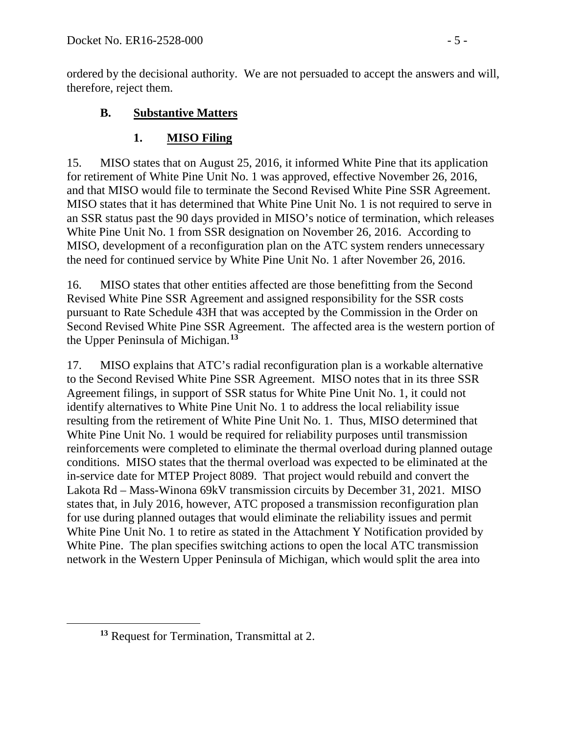ordered by the decisional authority. We are not persuaded to accept the answers and will, therefore, reject them.

### **B. Substantive Matters**

### **1. MISO Filing**

15. MISO states that on August 25, 2016, it informed White Pine that its application for retirement of White Pine Unit No. 1 was approved, effective November 26, 2016, and that MISO would file to terminate the Second Revised White Pine SSR Agreement. MISO states that it has determined that White Pine Unit No. 1 is not required to serve in an SSR status past the 90 days provided in MISO's notice of termination, which releases White Pine Unit No. 1 from SSR designation on November 26, 2016. According to MISO, development of a reconfiguration plan on the ATC system renders unnecessary the need for continued service by White Pine Unit No. 1 after November 26, 2016.

16. MISO states that other entities affected are those benefitting from the Second Revised White Pine SSR Agreement and assigned responsibility for the SSR costs pursuant to Rate Schedule 43H that was accepted by the Commission in the Order on Second Revised White Pine SSR Agreement. The affected area is the western portion of the Upper Peninsula of Michigan.**[13](#page-4-0)**

17. MISO explains that ATC's radial reconfiguration plan is a workable alternative to the Second Revised White Pine SSR Agreement. MISO notes that in its three SSR Agreement filings, in support of SSR status for White Pine Unit No. 1, it could not identify alternatives to White Pine Unit No. 1 to address the local reliability issue resulting from the retirement of White Pine Unit No. 1. Thus, MISO determined that White Pine Unit No. 1 would be required for reliability purposes until transmission reinforcements were completed to eliminate the thermal overload during planned outage conditions. MISO states that the thermal overload was expected to be eliminated at the in-service date for MTEP Project 8089. That project would rebuild and convert the Lakota Rd – Mass-Winona 69kV transmission circuits by December 31, 2021. MISO states that, in July 2016, however, ATC proposed a transmission reconfiguration plan for use during planned outages that would eliminate the reliability issues and permit White Pine Unit No. 1 to retire as stated in the Attachment Y Notification provided by White Pine. The plan specifies switching actions to open the local ATC transmission network in the Western Upper Peninsula of Michigan, which would split the area into

<span id="page-4-0"></span> $\overline{a}$ 

**<sup>13</sup>** Request for Termination, Transmittal at 2.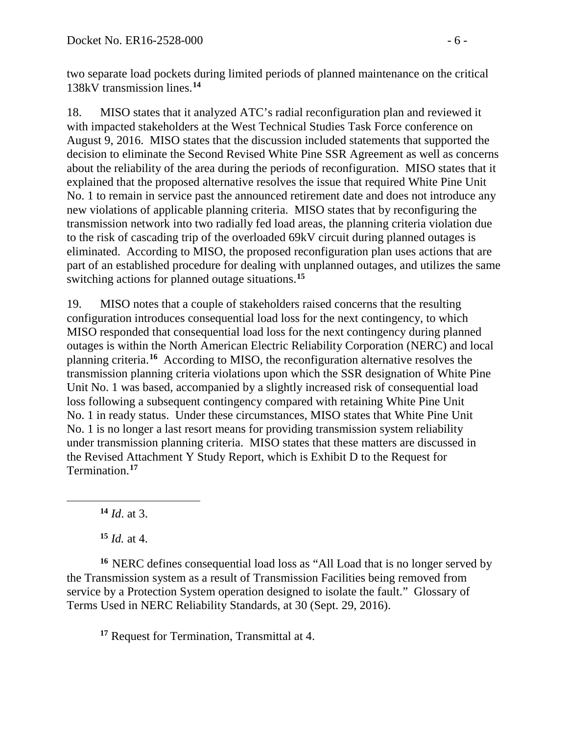two separate load pockets during limited periods of planned maintenance on the critical 138kV transmission lines.**[14](#page-5-0)**

18. MISO states that it analyzed ATC's radial reconfiguration plan and reviewed it with impacted stakeholders at the West Technical Studies Task Force conference on August 9, 2016. MISO states that the discussion included statements that supported the decision to eliminate the Second Revised White Pine SSR Agreement as well as concerns about the reliability of the area during the periods of reconfiguration. MISO states that it explained that the proposed alternative resolves the issue that required White Pine Unit No. 1 to remain in service past the announced retirement date and does not introduce any new violations of applicable planning criteria. MISO states that by reconfiguring the transmission network into two radially fed load areas, the planning criteria violation due to the risk of cascading trip of the overloaded 69kV circuit during planned outages is eliminated. According to MISO, the proposed reconfiguration plan uses actions that are part of an established procedure for dealing with unplanned outages, and utilizes the same switching actions for planned outage situations.**[15](#page-5-1)**

19. MISO notes that a couple of stakeholders raised concerns that the resulting configuration introduces consequential load loss for the next contingency, to which MISO responded that consequential load loss for the next contingency during planned outages is within the North American Electric Reliability Corporation (NERC) and local planning criteria.**[16](#page-5-2)** According to MISO, the reconfiguration alternative resolves the transmission planning criteria violations upon which the SSR designation of White Pine Unit No. 1 was based, accompanied by a slightly increased risk of consequential load loss following a subsequent contingency compared with retaining White Pine Unit No. 1 in ready status. Under these circumstances, MISO states that White Pine Unit No. 1 is no longer a last resort means for providing transmission system reliability under transmission planning criteria. MISO states that these matters are discussed in the Revised Attachment Y Study Report, which is Exhibit D to the Request for Termination.**[17](#page-5-3)**

**<sup>14</sup>** *Id*. at 3.

<span id="page-5-0"></span> $\overline{a}$ 

**<sup>15</sup>** *Id.* at 4.

<span id="page-5-3"></span><span id="page-5-2"></span><span id="page-5-1"></span>**<sup>16</sup>** NERC defines consequential load loss as "All Load that is no longer served by the Transmission system as a result of Transmission Facilities being removed from service by a Protection System operation designed to isolate the fault." Glossary of Terms Used in NERC Reliability Standards, at 30 (Sept. 29, 2016).

**<sup>17</sup>** Request for Termination, Transmittal at 4.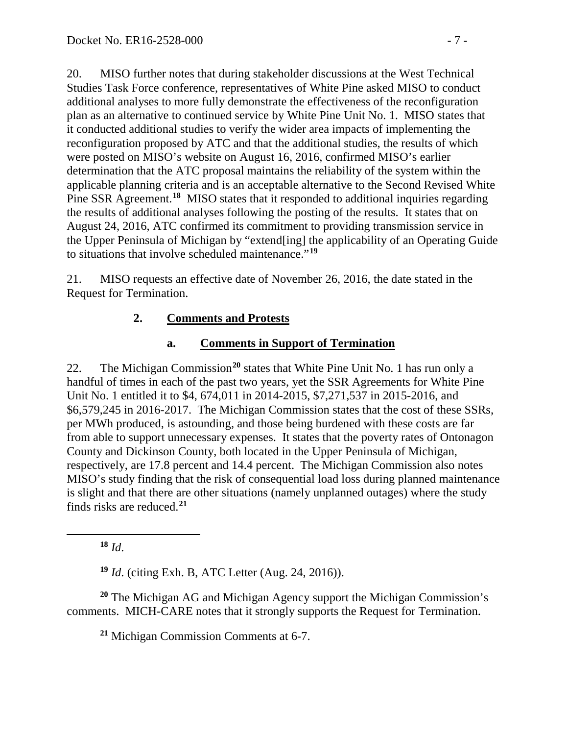20. MISO further notes that during stakeholder discussions at the West Technical Studies Task Force conference, representatives of White Pine asked MISO to conduct additional analyses to more fully demonstrate the effectiveness of the reconfiguration plan as an alternative to continued service by White Pine Unit No. 1. MISO states that it conducted additional studies to verify the wider area impacts of implementing the reconfiguration proposed by ATC and that the additional studies, the results of which were posted on MISO's website on August 16, 2016, confirmed MISO's earlier determination that the ATC proposal maintains the reliability of the system within the applicable planning criteria and is an acceptable alternative to the Second Revised White Pine SSR Agreement.<sup>[18](#page-6-0)</sup> MISO states that it responded to additional inquiries regarding the results of additional analyses following the posting of the results. It states that on August 24, 2016, ATC confirmed its commitment to providing transmission service in the Upper Peninsula of Michigan by "extend[ing] the applicability of an Operating Guide to situations that involve scheduled maintenance."**[19](#page-6-1)**

21. MISO requests an effective date of November 26, 2016, the date stated in the Request for Termination.

## **2. Comments and Protests**

## **a. Comments in Support of Termination**

22. The Michigan Commission**[20](#page-6-2)** states that White Pine Unit No. 1 has run only a handful of times in each of the past two years, yet the SSR Agreements for White Pine Unit No. 1 entitled it to \$4, 674,011 in 2014-2015, \$7,271,537 in 2015-2016, and \$6,579,245 in 2016-2017. The Michigan Commission states that the cost of these SSRs, per MWh produced, is astounding, and those being burdened with these costs are far from able to support unnecessary expenses. It states that the poverty rates of Ontonagon County and Dickinson County, both located in the Upper Peninsula of Michigan, respectively, are 17.8 percent and 14.4 percent. The Michigan Commission also notes MISO's study finding that the risk of consequential load loss during planned maintenance is slight and that there are other situations (namely unplanned outages) where the study finds risks are reduced.**[21](#page-6-3)**

**<sup>18</sup>** *Id*.

<span id="page-6-0"></span> $\overline{a}$ 

**<sup>19</sup>** *Id*. (citing Exh. B, ATC Letter (Aug. 24, 2016)).

<span id="page-6-3"></span><span id="page-6-2"></span><span id="page-6-1"></span>**<sup>20</sup>** The Michigan AG and Michigan Agency support the Michigan Commission's comments. MICH-CARE notes that it strongly supports the Request for Termination.

**<sup>21</sup>** Michigan Commission Comments at 6-7.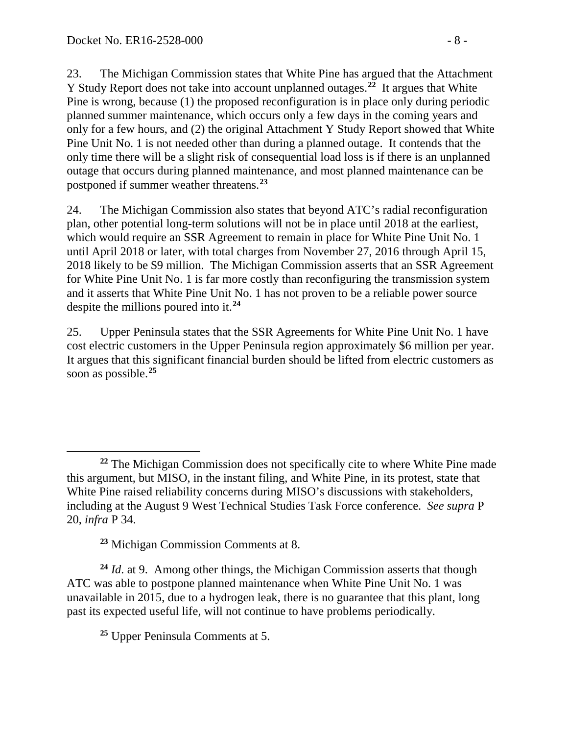23. The Michigan Commission states that White Pine has argued that the Attachment Y Study Report does not take into account unplanned outages. **[22](#page-7-0)** It argues that White Pine is wrong, because (1) the proposed reconfiguration is in place only during periodic planned summer maintenance, which occurs only a few days in the coming years and only for a few hours, and (2) the original Attachment Y Study Report showed that White Pine Unit No. 1 is not needed other than during a planned outage. It contends that the only time there will be a slight risk of consequential load loss is if there is an unplanned outage that occurs during planned maintenance, and most planned maintenance can be postponed if summer weather threatens.**[23](#page-7-1)**

24. The Michigan Commission also states that beyond ATC's radial reconfiguration plan, other potential long-term solutions will not be in place until 2018 at the earliest, which would require an SSR Agreement to remain in place for White Pine Unit No. 1 until April 2018 or later, with total charges from November 27, 2016 through April 15, 2018 likely to be \$9 million. The Michigan Commission asserts that an SSR Agreement for White Pine Unit No. 1 is far more costly than reconfiguring the transmission system and it asserts that White Pine Unit No. 1 has not proven to be a reliable power source despite the millions poured into it.**[24](#page-7-2)**

25. Upper Peninsula states that the SSR Agreements for White Pine Unit No. 1 have cost electric customers in the Upper Peninsula region approximately \$6 million per year. It argues that this significant financial burden should be lifted from electric customers as soon as possible.**[25](#page-7-3)**

**<sup>23</sup>** Michigan Commission Comments at 8.

<span id="page-7-3"></span><span id="page-7-2"></span><span id="page-7-1"></span>**<sup>24</sup>** *Id*. at 9. Among other things, the Michigan Commission asserts that though ATC was able to postpone planned maintenance when White Pine Unit No. 1 was unavailable in 2015, due to a hydrogen leak, there is no guarantee that this plant, long past its expected useful life, will not continue to have problems periodically.

**<sup>25</sup>** Upper Peninsula Comments at 5.

<span id="page-7-0"></span> $\overline{a}$ **<sup>22</sup>** The Michigan Commission does not specifically cite to where White Pine made this argument, but MISO, in the instant filing, and White Pine, in its protest, state that White Pine raised reliability concerns during MISO's discussions with stakeholders, including at the August 9 West Technical Studies Task Force conference. *See supra* P 20, *infra* P 34.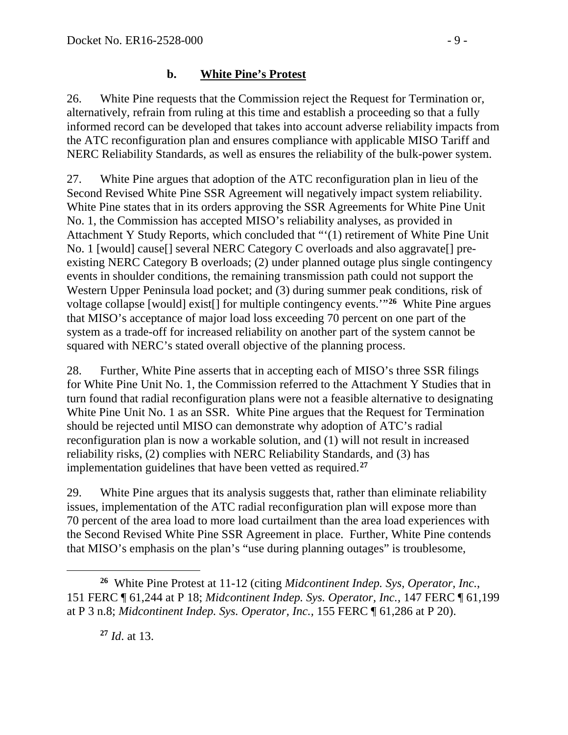#### **b. White Pine's Protest**

26. White Pine requests that the Commission reject the Request for Termination or, alternatively, refrain from ruling at this time and establish a proceeding so that a fully informed record can be developed that takes into account adverse reliability impacts from the ATC reconfiguration plan and ensures compliance with applicable MISO Tariff and NERC Reliability Standards, as well as ensures the reliability of the bulk-power system.

27. White Pine argues that adoption of the ATC reconfiguration plan in lieu of the Second Revised White Pine SSR Agreement will negatively impact system reliability. White Pine states that in its orders approving the SSR Agreements for White Pine Unit No. 1, the Commission has accepted MISO's reliability analyses, as provided in Attachment Y Study Reports, which concluded that "'(1) retirement of White Pine Unit No. 1 [would] cause[] several NERC Category C overloads and also aggravate[] preexisting NERC Category B overloads; (2) under planned outage plus single contingency events in shoulder conditions, the remaining transmission path could not support the Western Upper Peninsula load pocket; and (3) during summer peak conditions, risk of voltage collapse [would] exist[] for multiple contingency events.'"**[26](#page-8-0)** White Pine argues that MISO's acceptance of major load loss exceeding 70 percent on one part of the system as a trade-off for increased reliability on another part of the system cannot be squared with NERC's stated overall objective of the planning process.

28. Further, White Pine asserts that in accepting each of MISO's three SSR filings for White Pine Unit No. 1, the Commission referred to the Attachment Y Studies that in turn found that radial reconfiguration plans were not a feasible alternative to designating White Pine Unit No. 1 as an SSR. White Pine argues that the Request for Termination should be rejected until MISO can demonstrate why adoption of ATC's radial reconfiguration plan is now a workable solution, and (1) will not result in increased reliability risks, (2) complies with NERC Reliability Standards, and (3) has implementation guidelines that have been vetted as required.**[27](#page-8-1)**

29. White Pine argues that its analysis suggests that, rather than eliminate reliability issues, implementation of the ATC radial reconfiguration plan will expose more than 70 percent of the area load to more load curtailment than the area load experiences with the Second Revised White Pine SSR Agreement in place. Further, White Pine contends that MISO's emphasis on the plan's "use during planning outages" is troublesome,

**<sup>27</sup>** *Id*. at 13.

<span id="page-8-1"></span><span id="page-8-0"></span> $\overline{a}$ **<sup>26</sup>** White Pine Protest at 11-12 (citing *Midcontinent Indep. Sys, Operator, Inc.*, 151 FERC ¶ 61,244 at P 18; *Midcontinent Indep. Sys. Operator, Inc.,* 147 FERC ¶ 61,199 at P 3 n.8; *Midcontinent Indep. Sys. Operator, Inc.,* 155 FERC ¶ 61,286 at P 20).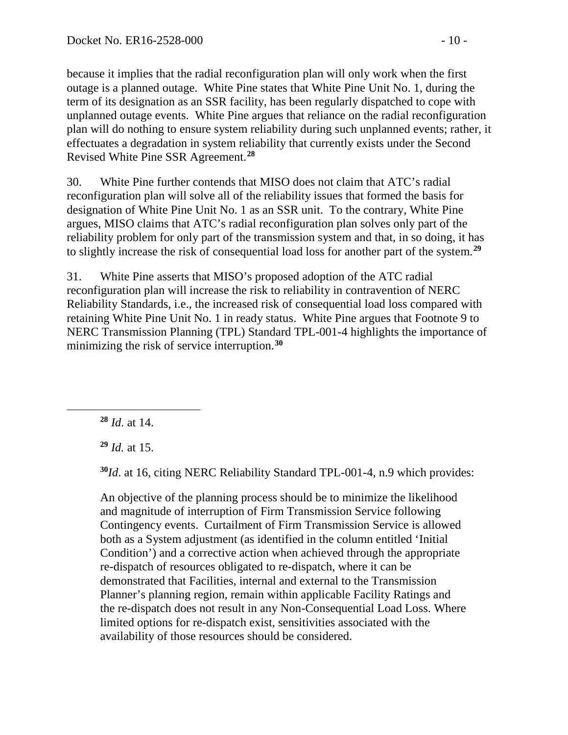because it implies that the radial reconfiguration plan will only work when the first outage is a planned outage. White Pine states that White Pine Unit No. 1, during the term of its designation as an SSR facility, has been regularly dispatched to cope with unplanned outage events. White Pine argues that reliance on the radial reconfiguration plan will do nothing to ensure system reliability during such unplanned events; rather, it effectuates a degradation in system reliability that currently exists under the Second Revised White Pine SSR Agreement. **[28](#page-9-0)**

30. White Pine further contends that MISO does not claim that ATC's radial reconfiguration plan will solve all of the reliability issues that formed the basis for designation of White Pine Unit No. 1 as an SSR unit. To the contrary, White Pine argues, MISO claims that ATC's radial reconfiguration plan solves only part of the reliability problem for only part of the transmission system and that, in so doing, it has to slightly increase the risk of consequential load loss for another part of the system.**[29](#page-9-1)**

31. White Pine asserts that MISO's proposed adoption of the ATC radial reconfiguration plan will increase the risk to reliability in contravention of NERC Reliability Standards, i.e., the increased risk of consequential load loss compared with retaining White Pine Unit No. 1 in ready status. White Pine argues that Footnote 9 to NERC Transmission Planning (TPL) Standard TPL-001-4 highlights the importance of minimizing the risk of service interruption.**[30](#page-9-2)**

**<sup>28</sup>** *Id*. at 14.

<span id="page-9-2"></span><span id="page-9-1"></span><span id="page-9-0"></span> $\overline{a}$ 

**<sup>29</sup>** *Id.* at 15.

**<sup>30</sup>***Id*. at 16, citing NERC Reliability Standard TPL-001-4, n.9 which provides:

An objective of the planning process should be to minimize the likelihood and magnitude of interruption of Firm Transmission Service following Contingency events. Curtailment of Firm Transmission Service is allowed both as a System adjustment (as identified in the column entitled 'Initial Condition') and a corrective action when achieved through the appropriate re-dispatch of resources obligated to re-dispatch, where it can be demonstrated that Facilities, internal and external to the Transmission Planner's planning region, remain within applicable Facility Ratings and the re-dispatch does not result in any Non-Consequential Load Loss. Where limited options for re-dispatch exist, sensitivities associated with the availability of those resources should be considered.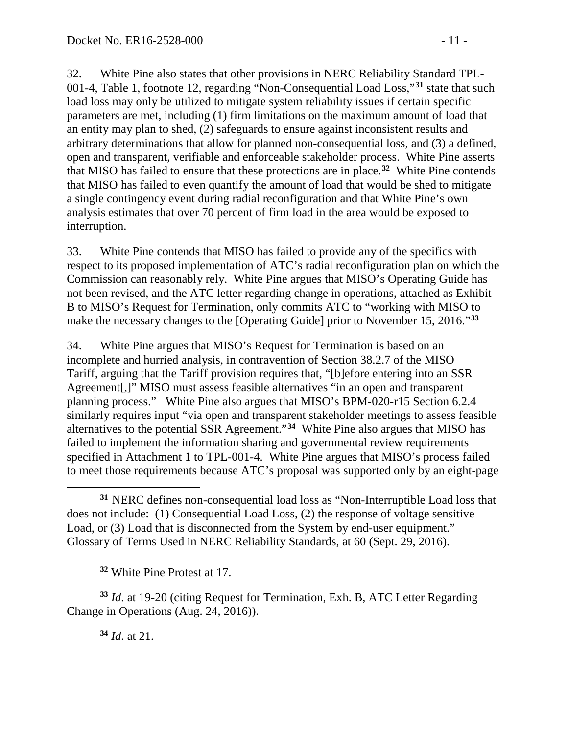32. White Pine also states that other provisions in NERC Reliability Standard TPL-001-4, Table 1, footnote 12, regarding "Non-Consequential Load Loss,"**[31](#page-10-0)** state that such load loss may only be utilized to mitigate system reliability issues if certain specific parameters are met, including (1) firm limitations on the maximum amount of load that an entity may plan to shed, (2) safeguards to ensure against inconsistent results and arbitrary determinations that allow for planned non-consequential loss, and (3) a defined, open and transparent, verifiable and enforceable stakeholder process. White Pine asserts that MISO has failed to ensure that these protections are in place.**[32](#page-10-1)** White Pine contends that MISO has failed to even quantify the amount of load that would be shed to mitigate a single contingency event during radial reconfiguration and that White Pine's own analysis estimates that over 70 percent of firm load in the area would be exposed to interruption.

33. White Pine contends that MISO has failed to provide any of the specifics with respect to its proposed implementation of ATC's radial reconfiguration plan on which the Commission can reasonably rely. White Pine argues that MISO's Operating Guide has not been revised, and the ATC letter regarding change in operations, attached as Exhibit B to MISO's Request for Termination, only commits ATC to "working with MISO to make the necessary changes to the [Operating Guide] prior to November 15, 2016."**[33](#page-10-2)**

34. White Pine argues that MISO's Request for Termination is based on an incomplete and hurried analysis, in contravention of Section 38.2.7 of the MISO Tariff, arguing that the Tariff provision requires that, "[b]efore entering into an SSR Agreement[,]" MISO must assess feasible alternatives "in an open and transparent planning process." White Pine also argues that MISO's BPM-020-r15 Section 6.2.4 similarly requires input "via open and transparent stakeholder meetings to assess feasible alternatives to the potential SSR Agreement."**[34](#page-10-3)** White Pine also argues that MISO has failed to implement the information sharing and governmental review requirements specified in Attachment 1 to TPL-001-4. White Pine argues that MISO's process failed to meet those requirements because ATC's proposal was supported only by an eight-page

**<sup>32</sup>** White Pine Protest at 17.

<span id="page-10-3"></span><span id="page-10-2"></span><span id="page-10-1"></span>**<sup>33</sup>** *Id*. at 19-20 (citing Request for Termination, Exh. B, ATC Letter Regarding Change in Operations (Aug. 24, 2016)).

**<sup>34</sup>** *Id*. at 21.

 $\overline{a}$ 

<span id="page-10-0"></span>**<sup>31</sup>** NERC defines non-consequential load loss as "Non-Interruptible Load loss that does not include: (1) Consequential Load Loss, (2) the response of voltage sensitive Load, or (3) Load that is disconnected from the System by end-user equipment." Glossary of Terms Used in NERC Reliability Standards, at 60 (Sept. 29, 2016).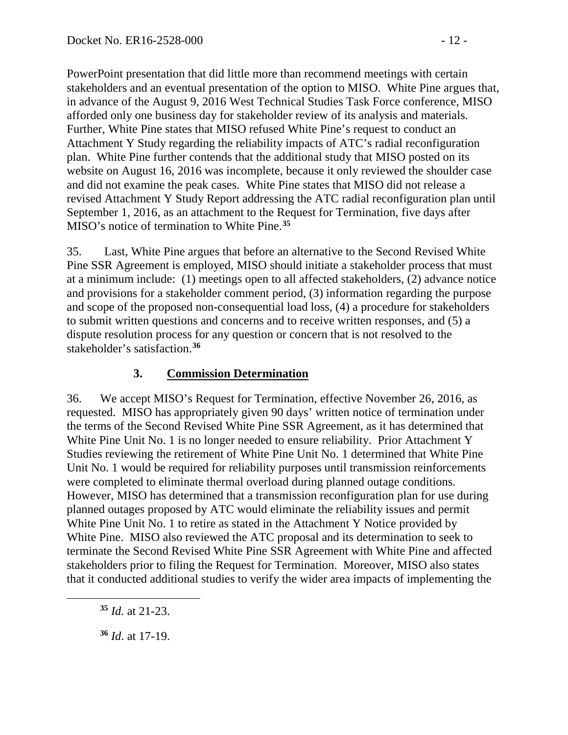PowerPoint presentation that did little more than recommend meetings with certain stakeholders and an eventual presentation of the option to MISO. White Pine argues that, in advance of the August 9, 2016 West Technical Studies Task Force conference, MISO afforded only one business day for stakeholder review of its analysis and materials. Further, White Pine states that MISO refused White Pine's request to conduct an Attachment Y Study regarding the reliability impacts of ATC's radial reconfiguration plan. White Pine further contends that the additional study that MISO posted on its website on August 16, 2016 was incomplete, because it only reviewed the shoulder case and did not examine the peak cases. White Pine states that MISO did not release a revised Attachment Y Study Report addressing the ATC radial reconfiguration plan until September 1, 2016, as an attachment to the Request for Termination, five days after MISO's notice of termination to White Pine.**[35](#page-11-0)**

35. Last, White Pine argues that before an alternative to the Second Revised White Pine SSR Agreement is employed, MISO should initiate a stakeholder process that must at a minimum include: (1) meetings open to all affected stakeholders, (2) advance notice and provisions for a stakeholder comment period, (3) information regarding the purpose and scope of the proposed non-consequential load loss, (4) a procedure for stakeholders to submit written questions and concerns and to receive written responses, and (5) a dispute resolution process for any question or concern that is not resolved to the stakeholder's satisfaction.**[36](#page-11-1)**

## **3. Commission Determination**

36. We accept MISO's Request for Termination, effective November 26, 2016, as requested. MISO has appropriately given 90 days' written notice of termination under the terms of the Second Revised White Pine SSR Agreement, as it has determined that White Pine Unit No. 1 is no longer needed to ensure reliability. Prior Attachment Y Studies reviewing the retirement of White Pine Unit No. 1 determined that White Pine Unit No. 1 would be required for reliability purposes until transmission reinforcements were completed to eliminate thermal overload during planned outage conditions. However, MISO has determined that a transmission reconfiguration plan for use during planned outages proposed by ATC would eliminate the reliability issues and permit White Pine Unit No. 1 to retire as stated in the Attachment Y Notice provided by White Pine. MISO also reviewed the ATC proposal and its determination to seek to terminate the Second Revised White Pine SSR Agreement with White Pine and affected stakeholders prior to filing the Request for Termination. Moreover, MISO also states that it conducted additional studies to verify the wider area impacts of implementing the

<span id="page-11-1"></span><span id="page-11-0"></span> $\overline{a}$ 

**<sup>35</sup>** *Id.* at 21-23.

**<sup>36</sup>** *Id*. at 17-19.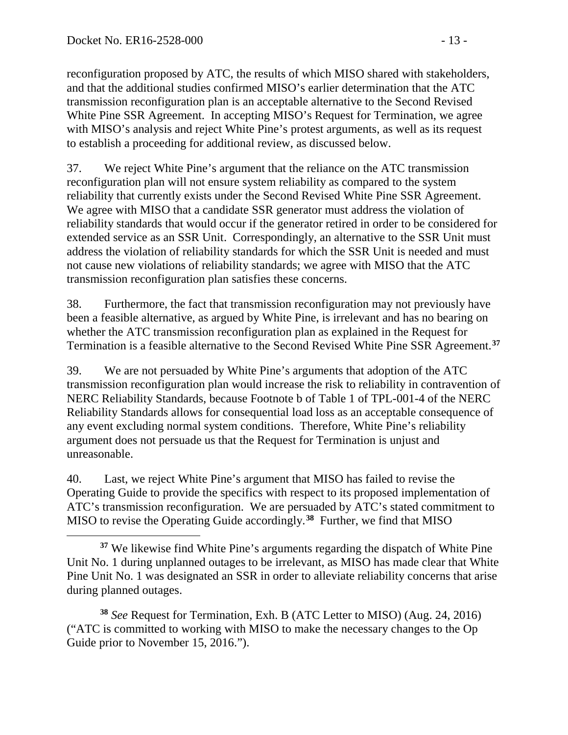reconfiguration proposed by ATC, the results of which MISO shared with stakeholders, and that the additional studies confirmed MISO's earlier determination that the ATC transmission reconfiguration plan is an acceptable alternative to the Second Revised White Pine SSR Agreement. In accepting MISO's Request for Termination, we agree with MISO's analysis and reject White Pine's protest arguments, as well as its request to establish a proceeding for additional review, as discussed below.

37. We reject White Pine's argument that the reliance on the ATC transmission reconfiguration plan will not ensure system reliability as compared to the system reliability that currently exists under the Second Revised White Pine SSR Agreement. We agree with MISO that a candidate SSR generator must address the violation of reliability standards that would occur if the generator retired in order to be considered for extended service as an SSR Unit. Correspondingly, an alternative to the SSR Unit must address the violation of reliability standards for which the SSR Unit is needed and must not cause new violations of reliability standards; we agree with MISO that the ATC transmission reconfiguration plan satisfies these concerns.

38. Furthermore, the fact that transmission reconfiguration may not previously have been a feasible alternative, as argued by White Pine, is irrelevant and has no bearing on whether the ATC transmission reconfiguration plan as explained in the Request for Termination is a feasible alternative to the Second Revised White Pine SSR Agreement.**[37](#page-12-0)**

39. We are not persuaded by White Pine's arguments that adoption of the ATC transmission reconfiguration plan would increase the risk to reliability in contravention of NERC Reliability Standards, because Footnote b of Table 1 of TPL-001-4 of the NERC Reliability Standards allows for consequential load loss as an acceptable consequence of any event excluding normal system conditions. Therefore, White Pine's reliability argument does not persuade us that the Request for Termination is unjust and unreasonable.

40. Last, we reject White Pine's argument that MISO has failed to revise the Operating Guide to provide the specifics with respect to its proposed implementation of ATC's transmission reconfiguration. We are persuaded by ATC's stated commitment to MISO to revise the Operating Guide accordingly.**[38](#page-12-1)** Further, we find that MISO

<span id="page-12-1"></span>**<sup>38</sup>** *See* Request for Termination, Exh. B (ATC Letter to MISO) (Aug. 24, 2016) ("ATC is committed to working with MISO to make the necessary changes to the Op Guide prior to November 15, 2016.").

<span id="page-12-0"></span> $\overline{a}$ **<sup>37</sup>** We likewise find White Pine's arguments regarding the dispatch of White Pine Unit No. 1 during unplanned outages to be irrelevant, as MISO has made clear that White Pine Unit No. 1 was designated an SSR in order to alleviate reliability concerns that arise during planned outages.